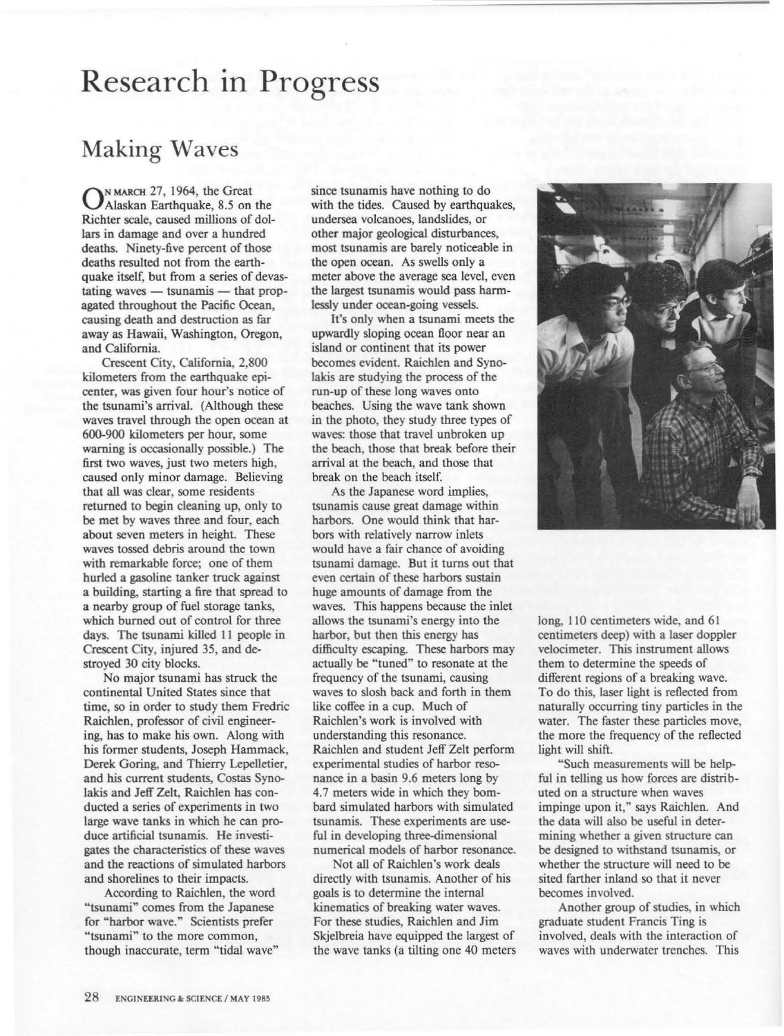## **Research In Progress**

## **Making Waves**

N MARCH 27, 1964, the Great Alaskan Earthquake, 8.5 on the Ricbter scale, caused millions of dollars in damage and over a hundred deaths. Ninety-five percent of those deaths resulted not from the earthquake itself, but from a series of devas- $\tanh$  **tating waves** — **tsunamis** — **that prop**agated throughout the Pacific Ocean, causing death and destruction as far **away as Hawaii, Washington, Oregon,**  and California.

Crescent City, California, 2,800 kilometers from the earthquake epi**center, was given four bour's notice of**  the tsunami's arrival. (Although these waves travel through the open ocean at 600-900 kilometers per hour, some warning is occasionally possible.) The **first two waves, just two meters high, caused only minor damage. Believing that all was clear, some residents**  returned to begin cleaning up, only to be met by waves three and four, each about seven meters in height. These waves tossed debris around the town with remarkable force; one of them burled a gasoline tanker truck against a building, starting a fire that spread to a nearby group of fuel storage tanks, which burned out of control for three days. The tsunami killed 11 people in Crescent City, injured 35, and destroyed 30 city blocks.

No major tsunami has struck the continental United States since tbat time, so in order to study them Fredric Raichlen, professor of civil engineering, has to make his own. Along with **his fonner students, Joseph Hammack,**  Derek Goring, and Thierry Lepelletier, and his current students, Costas Synolakis and Jeff Zeit, Raichlen has con**ducted a series of experiments in two**  large wave tanks in which he can pro**duce artificial tsunamis. He investi**gates the characteristics of these waves and the reactions of simulated barbors and sborelines to their impacts.

According to Raichlen, the word **"tsunami" comes from the Japanese**  for "harbor wave." Scientists prefer **"tsunami" to the more common, tbough inaccurate, term "'tidal wave"**  **since tsunamis have nothing to do**  with the tides. Caused by earthquakes, **undersea volcanoes, landslides, or**  other major geological disturbances, **most tsunamis are barely noticeable in**  the open ocean. As swells only a **meter above the average sea level, even**  the largest tsunamis would pass barmlessly under ocean-going vessels.

**It's only when a tsunami meets the upwardly sloping ocean floor near an island or continent that its power**  becomes evident. Raichlen and Synolakis are studying the process of the **run-up of these long waves onto**  beaches. Using the wave tank shown in the photo, they study three types of waves: those that travel unbroken up the beach, those that break before their arrival at the beach, and those that break on the beacb itself.

As the Japanese word implies, **tsunamis cause great damage within**  harbors. One would think that harbors with relatively narrow inlets would bave a fair chance of avoiding tsunami damage. But it turns out that even certain of these harbors sustain huge amounts of damage from the waves. This happens because the inlet **allows the tsunami's energy into the**  harbor, but then this energy has difficulty escaping. These harbors may actually be "tuned" to resonate at the **frequency of the tsunami, causing**  waves to slosh back and forth in them like coffee in a cup. Much of Raichlen's work is involved with **understanding this resonance.**  Raichlen and student Jeff Zeit perform experimental studies of harbor resonance in a basin 9.6 meters long by 4.7 meters wide in which they bombard simulated harbors with simulated **tsunamis. These experiments are use**ful in developing three-dimensional numerical models of barbor resonance.

Not all of Raichlen's work deals directly with tsunamis. Another of his goals is to determine the internal kinematics of breaking water waves. For these studies, Raichlen and Jim Skjelbreia have equipped the largest of tbe wave tanks (a tilting one 40 meters



long, 110 centimeters wide, and 61 centimeters deep) with a laser doppler **velocimeter. This instrument allows**  them to determine the speeds of different regions of a breaking wave. To do this, laser light is reflected from naturally occurring tiny particles in the **water. The faster these particles move,**  the more the frequency of the reflected ligbt will shift.

"Sucb measurements will be helpful in telling us how forces are distrib**uted on a structure when waves**  impinge upon it," says Raichlen. And the data will also be useful in deter**mining whether a given structure can**  be designed to withstand tsunamis, or whether the structure will need to be sited farther inland so that it never becomes involved.

Another group of studies, in which graduate student Francis Ting is **involved, deals with the interaction of waves with underwater trenches. This**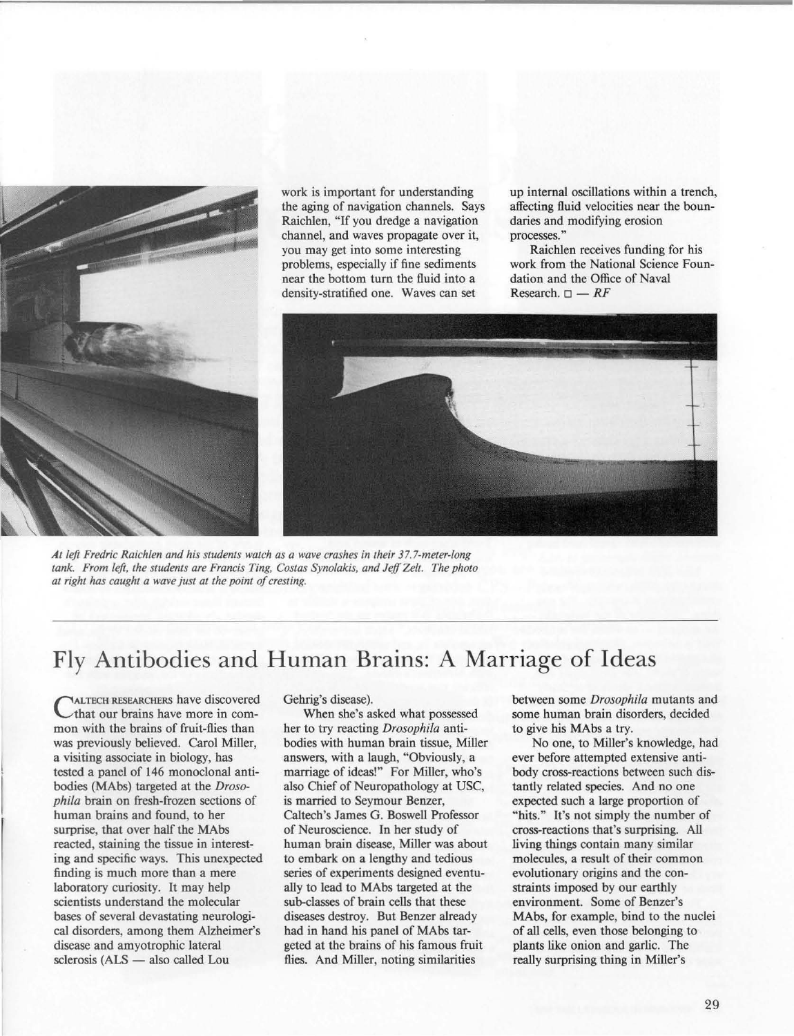

work is important for understanding the aging of navigation channels. Says Raichlen, "If you dredge a navigation **channel, and waves propagate over it, you may get into some interesting**  problems, especially if fine sediments near the bottom turn the fluid into a density~stratified **one. Waves can set** 

**up internal oscillations within a trench,**  affecting fluid velocities near the boundaries and modifying erosion **processes. "** 

Raichlen receives funding for his **work from the National Science Foun**dation and the Office of Naval Research.  $\Box$  - RF



*At left Fredric Raich/en and his students watch as a wave crashes in their 37.7-meter-long*  tank. From left, the students are Francis Ting, Costas Synolakis, and Jeff Zelt. The photo *at right has caught a wave just at the point of cresting.* 

## **Fly Antibodies and Human Brains: A Marriage of Ideas**

CALTECH **RESEARCHERS have discovered that our brains have more in com**mon with the brains of fruit-flies than **was previously believed. Carol Miller,**  a visiting associate in biology, has tested a panel of 146 monoclonal antibodies (MAbs) targeted at the *Drosophila* brain on fresh-frozen sections of **human brains and found, to her**  surprise, that over half the MAbs **reacted, staining the tissue in interest**ing and specific ways. This unexpected **finding is much more than a mere**  laboratory curiosity. It may help **scientists understand the molecular**  bases of several devastating neurologi**cal disorders, among them Alzheimer's**  disease and amyotrophic lateral sclerosis (ALS - also called Lou

Gehrig's disease).

When she's asked what possessed her to try reacting *Drosophila* antibodies with human brain tissue, Miller answers, with a laugh, "Obviously, a **marriage of ideas!" For Miller. who's**  also Chief of Neuropathology at USC, **is married to Seymour Benzer,**  Caltech's James G. Boswell Professor of Neuroscience. In her study of **human brain disease, Miller was about**  to embark on a lengthy and tedious **series of experiments designed eventu**ally to lead to MAbs targeted at the sub-classes of brain cells that these diseases destroy. But Benzer already had in hand his panel of MAbs targeted at the brains of his famous fruit flies. And Miller, noting similarities

between some *Drosophila* mutants and some human brain disorders, decided to give his MAbs a try.

No one, to Miller's knowledge, had **ever before attempted extensive antibody cross-reactions between such dis**tantly related species. And no one expected such a large proportion of "hits." It's not simply the number of **cross-reactions that's surprising. All**  living things contain many similar **molecules, a result of their common evolutionary origins and the con**straints imposed by our earthly **environment. Some of Benzer's**  MAbs, for example, bind to the nuclei of all cells, even those belonging to plants like onion and garlic. The really surprising thing in Miller's